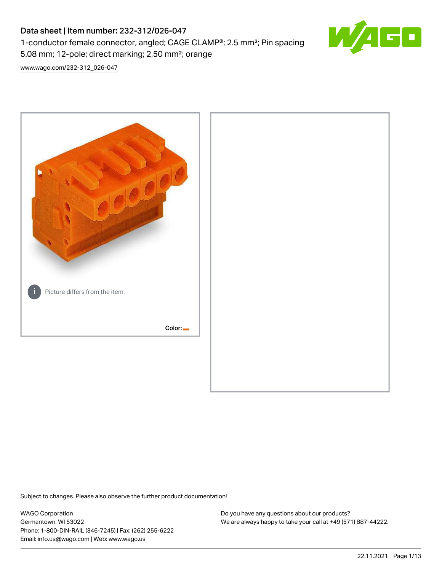# Data sheet | Item number: 232-312/026-047

1-conductor female connector, angled; CAGE CLAMP®; 2.5 mm²; Pin spacing 5.08 mm; 12-pole; direct marking; 2,50 mm²; orange



[www.wago.com/232-312\\_026-047](http://www.wago.com/232-312_026-047)



Subject to changes. Please also observe the further product documentation!

WAGO Corporation Germantown, WI 53022 Phone: 1-800-DIN-RAIL (346-7245) | Fax: (262) 255-6222 Email: info.us@wago.com | Web: www.wago.us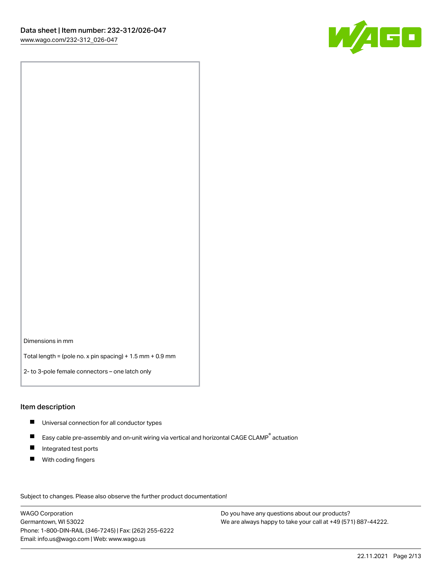

Dimensions in mm

Total length = (pole no. x pin spacing) + 1.5 mm + 0.9 mm

2- to 3-pole female connectors – one latch only

#### Item description

- **Universal connection for all conductor types**
- Easy cable pre-assembly and on-unit wiring via vertical and horizontal CAGE CLAMP<sup>®</sup> actuation  $\blacksquare$
- $\blacksquare$ Integrated test ports
- $\blacksquare$ With coding fingers

Subject to changes. Please also observe the further product documentation! Data

WAGO Corporation Germantown, WI 53022 Phone: 1-800-DIN-RAIL (346-7245) | Fax: (262) 255-6222 Email: info.us@wago.com | Web: www.wago.us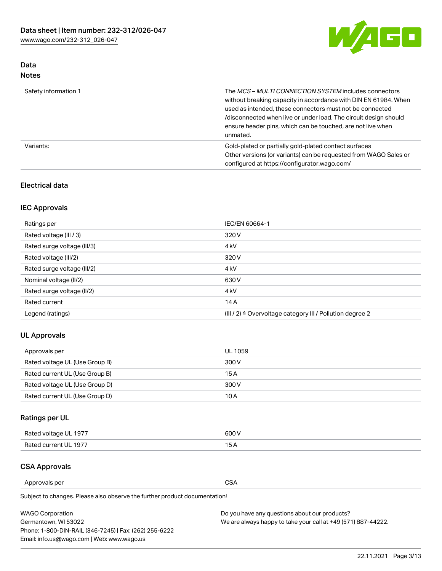

## Data Notes

| Safety information 1 | The MCS-MULTI CONNECTION SYSTEM includes connectors<br>without breaking capacity in accordance with DIN EN 61984. When<br>used as intended, these connectors must not be connected<br>/disconnected when live or under load. The circuit design should<br>ensure header pins, which can be touched, are not live when<br>unmated. |
|----------------------|-----------------------------------------------------------------------------------------------------------------------------------------------------------------------------------------------------------------------------------------------------------------------------------------------------------------------------------|
| Variants:            | Gold-plated or partially gold-plated contact surfaces<br>Other versions (or variants) can be requested from WAGO Sales or<br>configured at https://configurator.wago.com/                                                                                                                                                         |

## Electrical data

## IEC Approvals

| Ratings per                 | IEC/EN 60664-1                                                        |
|-----------------------------|-----------------------------------------------------------------------|
| Rated voltage (III / 3)     | 320 V                                                                 |
| Rated surge voltage (III/3) | 4 <sub>k</sub> V                                                      |
| Rated voltage (III/2)       | 320 V                                                                 |
| Rated surge voltage (III/2) | 4 <sub>k</sub> V                                                      |
| Nominal voltage (II/2)      | 630 V                                                                 |
| Rated surge voltage (II/2)  | 4 <sub>k</sub> V                                                      |
| Rated current               | 14A                                                                   |
| Legend (ratings)            | $(III / 2)$ $\triangle$ Overvoltage category III / Pollution degree 2 |

## UL Approvals

| Approvals per                  | UL 1059 |
|--------------------------------|---------|
| Rated voltage UL (Use Group B) | 300 V   |
| Rated current UL (Use Group B) | 15 A    |
| Rated voltage UL (Use Group D) | 300 V   |
| Rated current UL (Use Group D) | 10 A    |

# Ratings per UL

| Rated voltage UL 1977 | 300 V |
|-----------------------|-------|
| Rated current UL 1977 |       |

### CSA Approvals

Approvals per CSA

Subject to changes. Please also observe the further product documentation!

| <b>WAGO Corporation</b>                                | Do you have any questions about our products?                 |
|--------------------------------------------------------|---------------------------------------------------------------|
| Germantown, WI 53022                                   | We are always happy to take your call at +49 (571) 887-44222. |
| Phone: 1-800-DIN-RAIL (346-7245)   Fax: (262) 255-6222 |                                                               |
| Email: info.us@wago.com   Web: www.wago.us             |                                                               |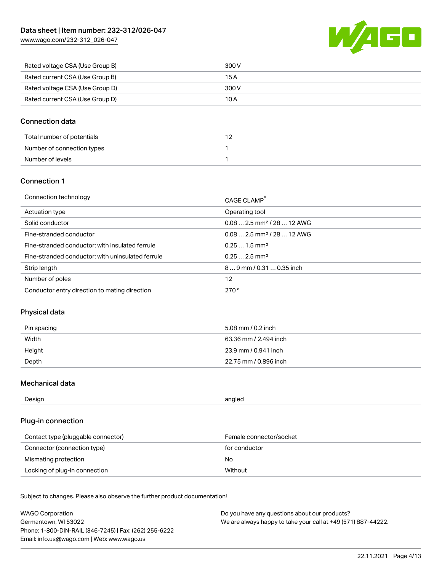[www.wago.com/232-312\\_026-047](http://www.wago.com/232-312_026-047)



| Rated voltage CSA (Use Group B) | 300 V |
|---------------------------------|-------|
| Rated current CSA (Use Group B) | 15 A  |
| Rated voltage CSA (Use Group D) | 300 V |
| Rated current CSA (Use Group D) | 10 A  |

### Connection data

| Total number of potentials |  |
|----------------------------|--|
| Number of connection types |  |
| Number of levels           |  |

#### Connection 1

| Connection technology                             | CAGE CLAMP®                            |
|---------------------------------------------------|----------------------------------------|
| Actuation type                                    | Operating tool                         |
| Solid conductor                                   | $0.082.5$ mm <sup>2</sup> / 28  12 AWG |
| Fine-stranded conductor                           | $0.082.5$ mm <sup>2</sup> / 28  12 AWG |
| Fine-stranded conductor; with insulated ferrule   | $0.251.5$ mm <sup>2</sup>              |
| Fine-stranded conductor; with uninsulated ferrule | $0.252.5$ mm <sup>2</sup>              |
| Strip length                                      | $89$ mm / 0.31  0.35 inch              |
| Number of poles                                   | 12                                     |
| Conductor entry direction to mating direction     | 270°                                   |

### Physical data

| Pin spacing | 5.08 mm / 0.2 inch    |
|-------------|-----------------------|
| Width       | 63.36 mm / 2.494 inch |
| Height      | 23.9 mm / 0.941 inch  |
| Depth       | 22.75 mm / 0.896 inch |

#### Mechanical data

Design angled and the contract of the contract of the contract of the contract of the contract of the contract of the contract of the contract of the contract of the contract of the contract of the contract of the contract

## Plug-in connection

| Contact type (pluggable connector) | Female connector/socket |
|------------------------------------|-------------------------|
| Connector (connection type)        | for conductor           |
| Mismating protection               | No.                     |
| Locking of plug-in connection      | Without                 |

Subject to changes. Please also observe the further product documentation! Material data

| <b>WAGO Corporation</b>                                | Do you have any questions about our products?                 |
|--------------------------------------------------------|---------------------------------------------------------------|
| Germantown, WI 53022                                   | We are always happy to take your call at +49 (571) 887-44222. |
| Phone: 1-800-DIN-RAIL (346-7245)   Fax: (262) 255-6222 |                                                               |
| Email: info.us@wago.com   Web: www.wago.us             |                                                               |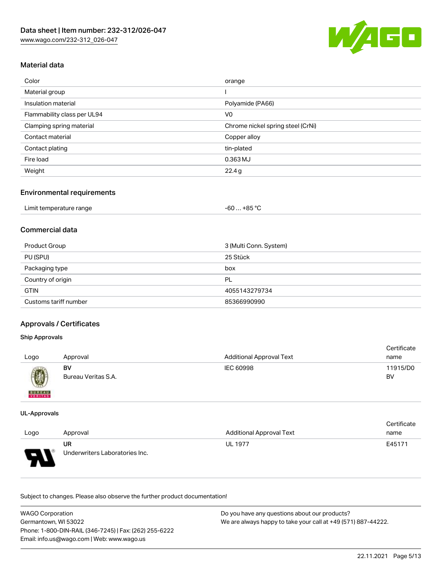

## Material data

| Color                       | orange                            |
|-----------------------------|-----------------------------------|
| Material group              |                                   |
| Insulation material         | Polyamide (PA66)                  |
| Flammability class per UL94 | V0                                |
| Clamping spring material    | Chrome nickel spring steel (CrNi) |
| Contact material            | Copper alloy                      |
| Contact plating             | tin-plated                        |
| Fire load                   | 0.363 MJ                          |
| Weight                      | 22.4g                             |
|                             |                                   |

### Environmental requirements

| Limit temperature range<br>. | $-60+85 °C$ |  |
|------------------------------|-------------|--|
|------------------------------|-------------|--|

#### Commercial data

| Product Group         | 3 (Multi Conn. System) |
|-----------------------|------------------------|
| PU (SPU)              | 25 Stück               |
| Packaging type        | box                    |
| Country of origin     | PL                     |
| <b>GTIN</b>           | 4055143279734          |
| Customs tariff number | 85366990990            |

## Approvals / Certificates

#### Ship Approvals

|               |                     |                                 | Certificate |
|---------------|---------------------|---------------------------------|-------------|
| Logo          | Approval            | <b>Additional Approval Text</b> | name        |
|               | BV                  | IEC 60998                       | 11915/D0    |
| Ø             | Bureau Veritas S.A. |                                 | BV          |
| <b>BUREAU</b> |                     |                                 |             |

#### UL-Approvals

|                                               |                                |                                 | Certificate |
|-----------------------------------------------|--------------------------------|---------------------------------|-------------|
| Logo                                          | Approval                       | <b>Additional Approval Text</b> | name        |
|                                               | UR                             | <b>UL 1977</b>                  | E45171      |
| Б<br>$\overline{\phantom{a}}$<br>$\mathbf{r}$ | Underwriters Laboratories Inc. |                                 |             |

Subject to changes. Please also observe the further product documentation!

| <b>WAGO Corporation</b>                                | Do you have any questions about our products?                 |
|--------------------------------------------------------|---------------------------------------------------------------|
| Germantown, WI 53022                                   | We are always happy to take your call at +49 (571) 887-44222. |
| Phone: 1-800-DIN-RAIL (346-7245)   Fax: (262) 255-6222 |                                                               |
| Email: info.us@wago.com   Web: www.wago.us             |                                                               |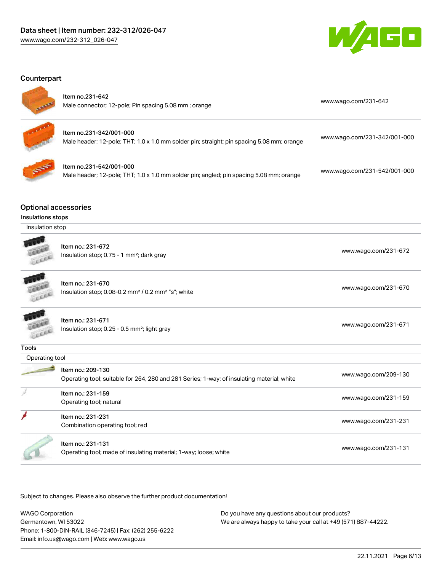

#### Counterpart



#### Item no.231-642

| Male connector; 12-pole; Pin spacing 5.08 mm; orange |
|------------------------------------------------------|
|                                                      |

[www.wago.com/231-642](https://www.wago.com/231-642)

|                        |  | ÷ |
|------------------------|--|---|
| ×<br>÷<br><b>START</b> |  |   |

| ltem no.231-342/001-000<br>Male header; 12-pole; THT; 1.0 x 1.0 mm solder pin; straight; pin spacing 5.08 mm; orange | www.wago.com/231-342/001-000 |
|----------------------------------------------------------------------------------------------------------------------|------------------------------|
|----------------------------------------------------------------------------------------------------------------------|------------------------------|



| ltem no.231-542/001-000                                                                 | www.wago.com/231-542/001-000 |
|-----------------------------------------------------------------------------------------|------------------------------|
| Male header; 12-pole; THT; 1.0 x 1.0 mm solder pin; angled; pin spacing 5.08 mm; orange |                              |

#### Optional accessories

#### Insulations stops

Insulation stop

| Item no.: 231-672                                     |
|-------------------------------------------------------|
| Insulation stop; 0.75 - 1 mm <sup>2</sup> ; dark gray |

cell

Item no.: 231-670 Insulation stop; 0.08-0.2 mm<sup>2</sup> / 0.2 mm<sup>2</sup> "s"; white [www.wago.com/231-670](http://www.wago.com/231-670) www.wago.com/231-670

[www.wago.com/231-672](http://www.wago.com/231-672)

Item no.: 231-671 Item ito... 231-071<br>Insulation stop; 0.25 - 0.5 mm²; light gray [www.wago.com/231-671](http://www.wago.com/231-671)

Leer

| Tools           |                                                                                                                 |                      |
|-----------------|-----------------------------------------------------------------------------------------------------------------|----------------------|
| Operating tool  |                                                                                                                 |                      |
| <b>Property</b> | ltem no.: 209-130<br>Operating tool: suitable for 264, 280 and 281 Series: 1-way: of insulating material: white | www.wago.com/209-130 |

| oporating tool, caltable for Lo I, Loo and Lo Foorloo, Final, or incalating material, milito |                      |
|----------------------------------------------------------------------------------------------|----------------------|
| Item no.: 231-159<br>Operating tool; natural                                                 | www.wago.com/231-159 |
| ltem no.: 231-231<br>Combination operating tool; red                                         | www.wago.com/231-231 |

Item no.: 231-131

Operating tool; made of insulating material; 1-way; loose; white [www.wago.com/231-131](http://www.wago.com/231-131) www.wago.com/231-131

Subject to changes. Please also observe the further product documentation!

| <b>WAGO Corporation</b>                                | Do you have any questions about our products?                 |  |
|--------------------------------------------------------|---------------------------------------------------------------|--|
| Germantown, WI 53022                                   | We are always happy to take your call at +49 (571) 887-44222. |  |
| Phone: 1-800-DIN-RAIL (346-7245)   Fax: (262) 255-6222 |                                                               |  |
| Email: info.us@wago.com   Web: www.wago.us             |                                                               |  |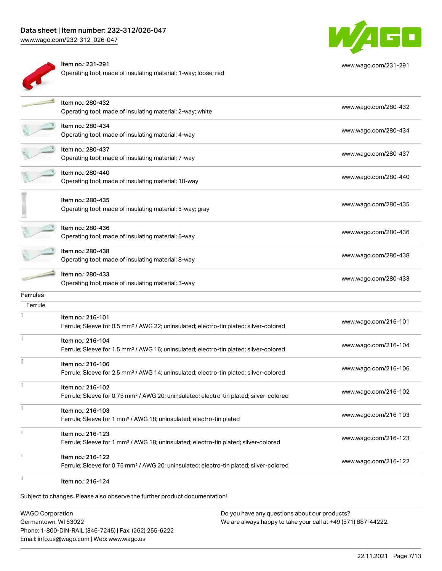## Data sheet | Item number: 232-312/026-047

[www.wago.com/232-312\\_026-047](http://www.wago.com/232-312_026-047)





[www.wago.com/231-291](http://www.wago.com/231-291)

|                 | Item no.: 280-432<br>Operating tool; made of insulating material; 2-way; white                                          | www.wago.com/280-432 |
|-----------------|-------------------------------------------------------------------------------------------------------------------------|----------------------|
|                 | ltem no.: 280-434<br>Operating tool; made of insulating material; 4-way                                                 | www.wago.com/280-434 |
|                 | ltem no.: 280-437<br>Operating tool; made of insulating material; 7-way                                                 | www.wago.com/280-437 |
|                 | Item no.: 280-440<br>Operating tool; made of insulating material; 10-way                                                | www.wago.com/280-440 |
|                 | Item no.: 280-435<br>Operating tool; made of insulating material; 5-way; gray                                           | www.wago.com/280-435 |
|                 | ltem no.: 280-436<br>Operating tool; made of insulating material; 6-way                                                 | www.wago.com/280-436 |
|                 | Item no.: 280-438<br>Operating tool; made of insulating material; 8-way                                                 | www.wago.com/280-438 |
|                 | ltem no.: 280-433<br>Operating tool; made of insulating material; 3-way                                                 | www.wago.com/280-433 |
| <b>Ferrules</b> |                                                                                                                         |                      |
| Ferrule         |                                                                                                                         |                      |
|                 | Item no.: 216-101<br>Ferrule; Sleeve for 0.5 mm <sup>2</sup> / AWG 22; uninsulated; electro-tin plated; silver-colored  | www.wago.com/216-101 |
|                 | Item no.: 216-104<br>Ferrule; Sleeve for 1.5 mm <sup>2</sup> / AWG 16; uninsulated; electro-tin plated; silver-colored  | www.wago.com/216-104 |
|                 | Item no.: 216-106<br>Ferrule; Sleeve for 2.5 mm <sup>2</sup> / AWG 14; uninsulated; electro-tin plated; silver-colored  | www.wago.com/216-106 |
|                 | Item no.: 216-102<br>Ferrule; Sleeve for 0.75 mm <sup>2</sup> / AWG 20; uninsulated; electro-tin plated; silver-colored | www.wago.com/216-102 |
|                 | Item no.: 216-103<br>Ferrule; Sleeve for 1 mm <sup>2</sup> / AWG 18; uninsulated; electro-tin plated                    | www.wago.com/216-103 |
| î.              | Item no.: 216-123<br>Ferrule; Sleeve for 1 mm <sup>2</sup> / AWG 18; uninsulated; electro-tin plated; silver-colored    | www.wago.com/216-123 |
| ž.              | Item no.: 216-122<br>Ferrule; Sleeve for 0.75 mm <sup>2</sup> / AWG 20; uninsulated; electro-tin plated; silver-colored | www.wago.com/216-122 |
|                 | Item no.: 216-124                                                                                                       |                      |

Subject to changes. Please also observe the further product documentation!

WAGO Corporation Germantown, WI 53022 Phone: 1-800-DIN-RAIL (346-7245) | Fax: (262) 255-6222 Email: info.us@wago.com | Web: www.wago.us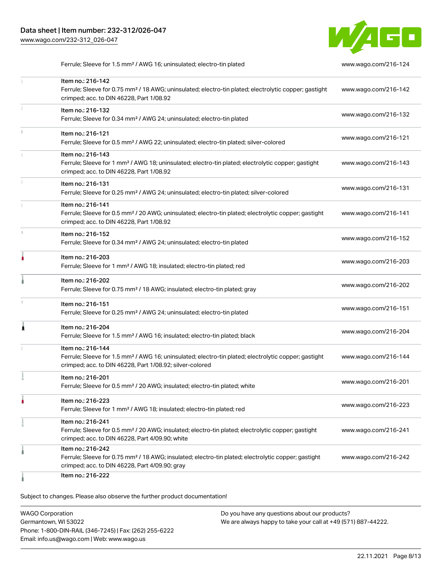

Ferrule; Sleeve for 1.5 mm² / AWG 16; uninsulated; electro-tin plated [www.wago.com/216-124](http://www.wago.com/216-124)

|    | Item no.: 216-142<br>Ferrule; Sleeve for 0.75 mm <sup>2</sup> / 18 AWG; uninsulated; electro-tin plated; electrolytic copper; gastight<br>crimped; acc. to DIN 46228, Part 1/08.92                | www.wago.com/216-142 |
|----|---------------------------------------------------------------------------------------------------------------------------------------------------------------------------------------------------|----------------------|
|    | Item no.: 216-132<br>Ferrule; Sleeve for 0.34 mm <sup>2</sup> / AWG 24; uninsulated; electro-tin plated                                                                                           | www.wago.com/216-132 |
| ī. | Item no.: 216-121<br>Ferrule; Sleeve for 0.5 mm <sup>2</sup> / AWG 22; uninsulated; electro-tin plated; silver-colored                                                                            | www.wago.com/216-121 |
|    | Item no.: 216-143<br>Ferrule; Sleeve for 1 mm <sup>2</sup> / AWG 18; uninsulated; electro-tin plated; electrolytic copper; gastight<br>crimped; acc. to DIN 46228, Part 1/08.92                   | www.wago.com/216-143 |
|    | Item no.: 216-131<br>Ferrule; Sleeve for 0.25 mm <sup>2</sup> / AWG 24; uninsulated; electro-tin plated; silver-colored                                                                           | www.wago.com/216-131 |
|    | Item no.: 216-141<br>Ferrule; Sleeve for 0.5 mm <sup>2</sup> / 20 AWG; uninsulated; electro-tin plated; electrolytic copper; gastight<br>crimped; acc. to DIN 46228, Part 1/08.92                 | www.wago.com/216-141 |
| r. | Item no.: 216-152<br>Ferrule; Sleeve for 0.34 mm <sup>2</sup> / AWG 24; uninsulated; electro-tin plated                                                                                           | www.wago.com/216-152 |
|    | Item no.: 216-203<br>Ferrule; Sleeve for 1 mm <sup>2</sup> / AWG 18; insulated; electro-tin plated; red                                                                                           | www.wago.com/216-203 |
|    | Item no.: 216-202<br>Ferrule; Sleeve for 0.75 mm <sup>2</sup> / 18 AWG; insulated; electro-tin plated; gray                                                                                       | www.wago.com/216-202 |
|    | Item no.: 216-151<br>Ferrule; Sleeve for 0.25 mm <sup>2</sup> / AWG 24; uninsulated; electro-tin plated                                                                                           | www.wago.com/216-151 |
|    | Item no.: 216-204<br>Ferrule; Sleeve for 1.5 mm <sup>2</sup> / AWG 16; insulated; electro-tin plated; black                                                                                       | www.wago.com/216-204 |
|    | Item no.: 216-144<br>Ferrule; Sleeve for 1.5 mm <sup>2</sup> / AWG 16; uninsulated; electro-tin plated; electrolytic copper; gastight<br>crimped; acc. to DIN 46228, Part 1/08.92; silver-colored | www.wago.com/216-144 |
|    | Item no.: 216-201<br>Ferrule; Sleeve for 0.5 mm <sup>2</sup> / 20 AWG; insulated; electro-tin plated; white                                                                                       | www.wago.com/216-201 |
|    | Item no.: 216-223<br>Ferrule; Sleeve for 1 mm <sup>2</sup> / AWG 18; insulated; electro-tin plated; red                                                                                           | www.wago.com/216-223 |
|    | Item no.: 216-241<br>Ferrule; Sleeve for 0.5 mm <sup>2</sup> / 20 AWG; insulated; electro-tin plated; electrolytic copper; gastight<br>crimped; acc. to DIN 46228, Part 4/09.90; white            | www.wago.com/216-241 |
|    | Item no.: 216-242<br>Ferrule; Sleeve for 0.75 mm <sup>2</sup> / 18 AWG; insulated; electro-tin plated; electrolytic copper; gastight<br>crimped; acc. to DIN 46228, Part 4/09.90; gray            | www.wago.com/216-242 |
|    | Item no.: 216-222                                                                                                                                                                                 |                      |

Subject to changes. Please also observe the further product documentation!

WAGO Corporation Germantown, WI 53022 Phone: 1-800-DIN-RAIL (346-7245) | Fax: (262) 255-6222 Email: info.us@wago.com | Web: www.wago.us Do you have any questions about our products? We are always happy to take your call at +49 (571) 887-44222.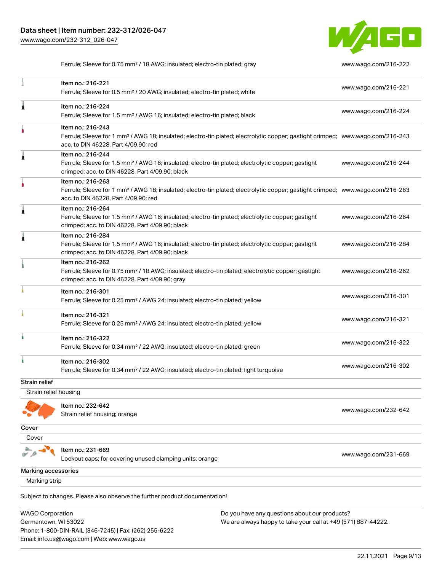Email: info.us@wago.com | Web: www.wago.us



Ferrule; Sleeve for 0.75 mm² / 18 AWG; insulated; electro-tin plated; gray [www.wago.com/216-222](http://www.wago.com/216-222)

|                                                 | Item no.: 216-221<br>Ferrule; Sleeve for 0.5 mm <sup>2</sup> / 20 AWG; insulated; electro-tin plated; white                                                                                             |                                                                                                                | www.wago.com/216-221 |
|-------------------------------------------------|---------------------------------------------------------------------------------------------------------------------------------------------------------------------------------------------------------|----------------------------------------------------------------------------------------------------------------|----------------------|
| Â                                               | Item no.: 216-224<br>Ferrule; Sleeve for 1.5 mm <sup>2</sup> / AWG 16; insulated; electro-tin plated; black                                                                                             |                                                                                                                | www.wago.com/216-224 |
|                                                 | Item no.: 216-243<br>Ferrule; Sleeve for 1 mm <sup>2</sup> / AWG 18; insulated; electro-tin plated; electrolytic copper; gastight crimped; www.wago.com/216-243<br>acc. to DIN 46228, Part 4/09.90; red |                                                                                                                |                      |
|                                                 | Item no.: 216-244<br>Ferrule; Sleeve for 1.5 mm <sup>2</sup> / AWG 16; insulated; electro-tin plated; electrolytic copper; gastight<br>crimped; acc. to DIN 46228, Part 4/09.90; black                  |                                                                                                                | www.wago.com/216-244 |
|                                                 | Item no.: 216-263<br>Ferrule; Sleeve for 1 mm <sup>2</sup> / AWG 18; insulated; electro-tin plated; electrolytic copper; gastight crimped; www.wago.com/216-263<br>acc. to DIN 46228, Part 4/09.90; red |                                                                                                                |                      |
|                                                 | Item no.: 216-264<br>Ferrule; Sleeve for 1.5 mm <sup>2</sup> / AWG 16; insulated; electro-tin plated; electrolytic copper; gastight<br>crimped; acc. to DIN 46228, Part 4/09.90; black                  |                                                                                                                | www.wago.com/216-264 |
|                                                 | Item no.: 216-284<br>Ferrule; Sleeve for 1.5 mm <sup>2</sup> / AWG 16; insulated; electro-tin plated; electrolytic copper; gastight<br>crimped; acc. to DIN 46228, Part 4/09.90; black                  |                                                                                                                | www.wago.com/216-284 |
|                                                 | Item no.: 216-262<br>Ferrule; Sleeve for 0.75 mm <sup>2</sup> / 18 AWG; insulated; electro-tin plated; electrolytic copper; gastight<br>crimped; acc. to DIN 46228, Part 4/09.90; gray                  |                                                                                                                | www.wago.com/216-262 |
|                                                 | Item no.: 216-301<br>Ferrule; Sleeve for 0.25 mm <sup>2</sup> / AWG 24; insulated; electro-tin plated; yellow                                                                                           |                                                                                                                | www.wago.com/216-301 |
|                                                 | Item no.: 216-321<br>Ferrule; Sleeve for 0.25 mm <sup>2</sup> / AWG 24; insulated; electro-tin plated; yellow                                                                                           |                                                                                                                | www.wago.com/216-321 |
|                                                 | Item no.: 216-322<br>Ferrule; Sleeve for 0.34 mm <sup>2</sup> / 22 AWG; insulated; electro-tin plated; green                                                                                            |                                                                                                                | www.wago.com/216-322 |
|                                                 | Item no.: 216-302<br>Ferrule; Sleeve for 0.34 mm <sup>2</sup> / 22 AWG; insulated; electro-tin plated; light turquoise                                                                                  |                                                                                                                | www.wago.com/216-302 |
| Strain relief                                   |                                                                                                                                                                                                         |                                                                                                                |                      |
| Strain relief housing                           |                                                                                                                                                                                                         |                                                                                                                |                      |
|                                                 | Item no.: 232-642<br>Strain relief housing; orange                                                                                                                                                      |                                                                                                                | www.wago.com/232-642 |
| Cover                                           |                                                                                                                                                                                                         |                                                                                                                |                      |
| Cover                                           |                                                                                                                                                                                                         |                                                                                                                |                      |
|                                                 | Item no.: 231-669<br>Lockout caps; for covering unused clamping units; orange                                                                                                                           |                                                                                                                | www.wago.com/231-669 |
| Marking accessories                             |                                                                                                                                                                                                         |                                                                                                                |                      |
| Marking strip                                   |                                                                                                                                                                                                         |                                                                                                                |                      |
|                                                 | Subject to changes. Please also observe the further product documentation!                                                                                                                              |                                                                                                                |                      |
| <b>WAGO Corporation</b><br>Germantown, WI 53022 | Phone: 1-800-DIN-RAIL (346-7245)   Fax: (262) 255-6222                                                                                                                                                  | Do you have any questions about our products?<br>We are always happy to take your call at +49 (571) 887-44222. |                      |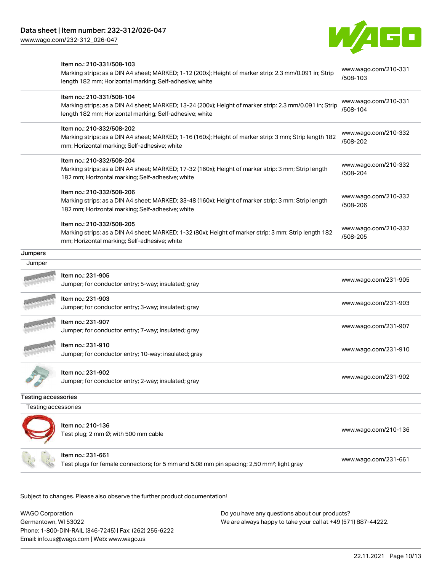[www.wago.com/232-312\\_026-047](http://www.wago.com/232-312_026-047)



|                            | Item no.: 210-331/508-103<br>Marking strips; as a DIN A4 sheet; MARKED; 1-12 (200x); Height of marker strip: 2.3 mm/0.091 in; Strip<br>length 182 mm; Horizontal marking; Self-adhesive; white  | www.wago.com/210-331<br>/508-103 |
|----------------------------|-------------------------------------------------------------------------------------------------------------------------------------------------------------------------------------------------|----------------------------------|
|                            | Item no.: 210-331/508-104<br>Marking strips; as a DIN A4 sheet; MARKED; 13-24 (200x); Height of marker strip: 2.3 mm/0.091 in; Strip<br>length 182 mm; Horizontal marking; Self-adhesive; white | www.wago.com/210-331<br>/508-104 |
|                            | Item no.: 210-332/508-202<br>Marking strips; as a DIN A4 sheet; MARKED; 1-16 (160x); Height of marker strip: 3 mm; Strip length 182<br>mm; Horizontal marking; Self-adhesive; white             | www.wago.com/210-332<br>/508-202 |
|                            | Item no.: 210-332/508-204<br>Marking strips; as a DIN A4 sheet; MARKED; 17-32 (160x); Height of marker strip: 3 mm; Strip length<br>182 mm; Horizontal marking; Self-adhesive; white            | www.wago.com/210-332<br>/508-204 |
|                            | Item no.: 210-332/508-206<br>Marking strips; as a DIN A4 sheet; MARKED; 33-48 (160x); Height of marker strip: 3 mm; Strip length<br>182 mm; Horizontal marking; Self-adhesive; white            | www.wago.com/210-332<br>/508-206 |
|                            | Item no.: 210-332/508-205<br>Marking strips; as a DIN A4 sheet; MARKED; 1-32 (80x); Height of marker strip: 3 mm; Strip length 182<br>mm; Horizontal marking; Self-adhesive; white              | www.wago.com/210-332<br>/508-205 |
| Jumpers                    |                                                                                                                                                                                                 |                                  |
| Jumper                     |                                                                                                                                                                                                 |                                  |
|                            | Item no.: 231-905<br>Jumper; for conductor entry; 5-way; insulated; gray                                                                                                                        | www.wago.com/231-905             |
|                            | Item no.: 231-903<br>Jumper; for conductor entry; 3-way; insulated; gray                                                                                                                        | www.wago.com/231-903             |
|                            | Item no.: 231-907<br>Jumper; for conductor entry; 7-way; insulated; gray                                                                                                                        | www.wago.com/231-907             |
|                            | Item no.: 231-910<br>Jumper; for conductor entry; 10-way; insulated; gray                                                                                                                       | www.wago.com/231-910             |
|                            | Item no.: 231-902<br>Jumper; for conductor entry; 2-way; insulated; gray                                                                                                                        | www.wago.com/231-902             |
| <b>Testing accessories</b> |                                                                                                                                                                                                 |                                  |
| Testing accessories        |                                                                                                                                                                                                 |                                  |
|                            | Item no.: 210-136<br>Test plug; 2 mm Ø; with 500 mm cable                                                                                                                                       | www.wago.com/210-136             |
|                            | Item no.: 231-661<br>Test plugs for female connectors; for 5 mm and 5.08 mm pin spacing; 2,50 mm <sup>2</sup> ; light gray                                                                      | www.wago.com/231-661             |

.<br>Subject to changes. Please also observe the further product documentation!

WAGO Corporation Germantown, WI 53022 Phone: 1-800-DIN-RAIL (346-7245) | Fax: (262) 255-6222 Email: info.us@wago.com | Web: www.wago.us Do you have any questions about our products? We are always happy to take your call at +49 (571) 887-44222.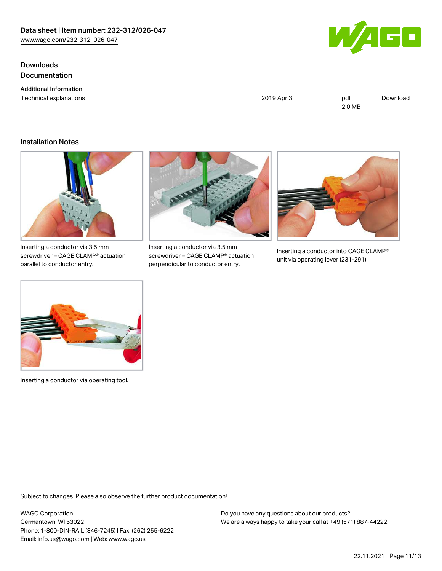**Downloads** Documentation

Additional Information Technical explanations



| 2019 Apr 3 | pdf    | Download |
|------------|--------|----------|
|            | 2.0 MB |          |

#### Installation Notes



Inserting a conductor via 3.5 mm screwdriver – CAGE CLAMP® actuation parallel to conductor entry.



Inserting a conductor via 3.5 mm screwdriver – CAGE CLAMP® actuation perpendicular to conductor entry.



Inserting a conductor into CAGE CLAMP® unit via operating lever (231-291).



Inserting a conductor via operating tool.

Subject to changes. Please also observe the further product documentation!

WAGO Corporation Germantown, WI 53022 Phone: 1-800-DIN-RAIL (346-7245) | Fax: (262) 255-6222 Email: info.us@wago.com | Web: www.wago.us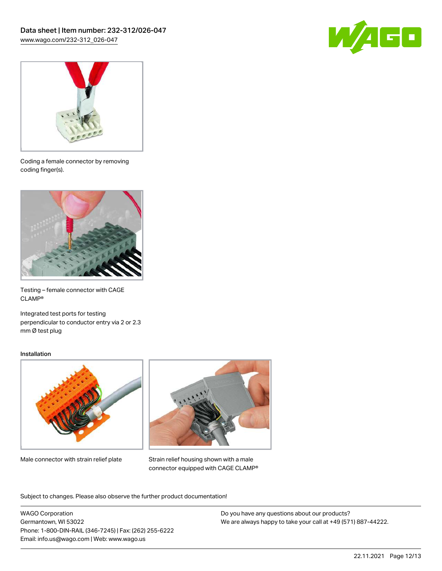



Coding a female connector by removing coding finger(s).



Testing – female connector with CAGE CLAMP®

Integrated test ports for testing perpendicular to conductor entry via 2 or 2.3 mm Ø test plug

#### Installation



Male connector with strain relief plate



Strain relief housing shown with a male connector equipped with CAGE CLAMP®

Subject to changes. Please also observe the further product documentation!

WAGO Corporation Germantown, WI 53022 Phone: 1-800-DIN-RAIL (346-7245) | Fax: (262) 255-6222 Email: info.us@wago.com | Web: www.wago.us